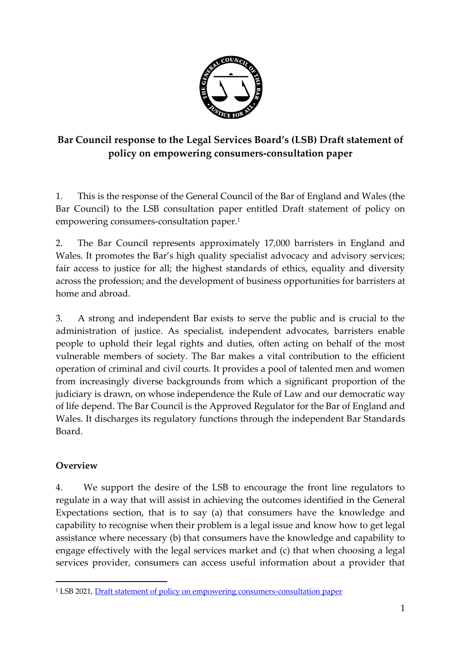

# **Bar Council response to the Legal Services Board's (LSB) Draft statement of policy on empowering consumers-consultation paper**

1. This is the response of the General Council of the Bar of England and Wales (the Bar Council) to the LSB consultation paper entitled Draft statement of policy on empowering consumers-consultation paper. 1

2. The Bar Council represents approximately 17,000 barristers in England and Wales. It promotes the Bar's high quality specialist advocacy and advisory services; fair access to justice for all; the highest standards of ethics, equality and diversity across the profession; and the development of business opportunities for barristers at home and abroad.

3. A strong and independent Bar exists to serve the public and is crucial to the administration of justice. As specialist, independent advocates, barristers enable people to uphold their legal rights and duties, often acting on behalf of the most vulnerable members of society. The Bar makes a vital contribution to the efficient operation of criminal and civil courts. It provides a pool of talented men and women from increasingly diverse backgrounds from which a significant proportion of the judiciary is drawn, on whose independence the Rule of Law and our democratic way of life depend. The Bar Council is the Approved Regulator for the Bar of England and Wales. It discharges its regulatory functions through the independent Bar Standards Board.

## **Overview**

4. We support the desire of the LSB to encourage the front line regulators to regulate in a way that will assist in achieving the outcomes identified in the General Expectations section, that is to say (a) that consumers have the knowledge and capability to recognise when their problem is a legal issue and know how to get legal assistance where necessary (b) that consumers have the knowledge and capability to engage effectively with the legal services market and (c) that when choosing a legal services provider, consumers can access useful information about a provider that

<sup>&</sup>lt;sup>1</sup> LSB 2021[, Draft statement of policy on empowering consumers-consultation paper](https://legalservicesboard.org.uk/wp-content/uploads/2021/09/Empowering-consumers-consultation-paper-statement-of-policy.pdf)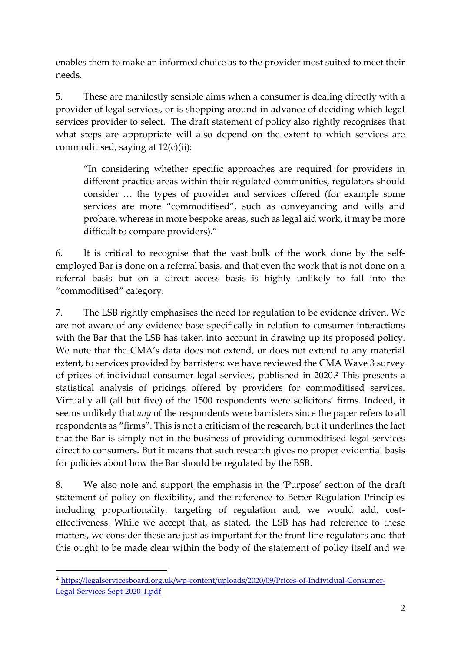enables them to make an informed choice as to the provider most suited to meet their needs.

5. These are manifestly sensible aims when a consumer is dealing directly with a provider of legal services, or is shopping around in advance of deciding which legal services provider to select. The draft statement of policy also rightly recognises that what steps are appropriate will also depend on the extent to which services are commoditised, saying at 12(c)(ii):

"In considering whether specific approaches are required for providers in different practice areas within their regulated communities, regulators should consider … the types of provider and services offered (for example some services are more "commoditised", such as conveyancing and wills and probate, whereas in more bespoke areas, such as legal aid work, it may be more difficult to compare providers)."

6. It is critical to recognise that the vast bulk of the work done by the selfemployed Bar is done on a referral basis, and that even the work that is not done on a referral basis but on a direct access basis is highly unlikely to fall into the "commoditised" category.

7. The LSB rightly emphasises the need for regulation to be evidence driven. We are not aware of any evidence base specifically in relation to consumer interactions with the Bar that the LSB has taken into account in drawing up its proposed policy. We note that the CMA's data does not extend, or does not extend to any material extent, to services provided by barristers: we have reviewed the CMA Wave 3 survey of prices of individual consumer legal services, published in 2020. <sup>2</sup> This presents a statistical analysis of pricings offered by providers for commoditised services. Virtually all (all but five) of the 1500 respondents were solicitors' firms. Indeed, it seems unlikely that *any* of the respondents were barristers since the paper refers to all respondents as "firms". This is not a criticism of the research, but it underlines the fact that the Bar is simply not in the business of providing commoditised legal services direct to consumers. But it means that such research gives no proper evidential basis for policies about how the Bar should be regulated by the BSB.

8. We also note and support the emphasis in the 'Purpose' section of the draft statement of policy on flexibility, and the reference to Better Regulation Principles including proportionality, targeting of regulation and, we would add, costeffectiveness. While we accept that, as stated, the LSB has had reference to these matters, we consider these are just as important for the front-line regulators and that this ought to be made clear within the body of the statement of policy itself and we

<sup>2</sup> [https://legalservicesboard.org.uk/wp-content/uploads/2020/09/Prices-of-Individual-Consumer-](https://legalservicesboard.org.uk/wp-content/uploads/2020/09/Prices-of-Individual-Consumer-Legal-Services-Sept-2020-1.pdf)[Legal-Services-Sept-2020-1.pdf](https://legalservicesboard.org.uk/wp-content/uploads/2020/09/Prices-of-Individual-Consumer-Legal-Services-Sept-2020-1.pdf)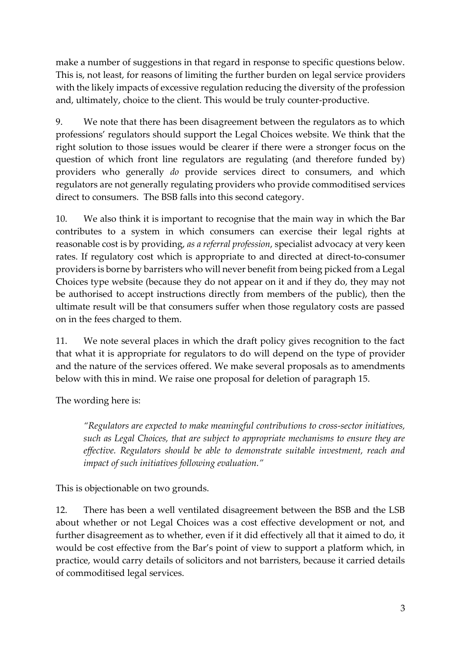make a number of suggestions in that regard in response to specific questions below. This is, not least, for reasons of limiting the further burden on legal service providers with the likely impacts of excessive regulation reducing the diversity of the profession and, ultimately, choice to the client. This would be truly counter-productive.

9. We note that there has been disagreement between the regulators as to which professions' regulators should support the Legal Choices website. We think that the right solution to those issues would be clearer if there were a stronger focus on the question of which front line regulators are regulating (and therefore funded by) providers who generally *do* provide services direct to consumers, and which regulators are not generally regulating providers who provide commoditised services direct to consumers. The BSB falls into this second category.

10. We also think it is important to recognise that the main way in which the Bar contributes to a system in which consumers can exercise their legal rights at reasonable cost is by providing, *as a referral profession*, specialist advocacy at very keen rates. If regulatory cost which is appropriate to and directed at direct-to-consumer providers is borne by barristers who will never benefit from being picked from a Legal Choices type website (because they do not appear on it and if they do, they may not be authorised to accept instructions directly from members of the public), then the ultimate result will be that consumers suffer when those regulatory costs are passed on in the fees charged to them.

11. We note several places in which the draft policy gives recognition to the fact that what it is appropriate for regulators to do will depend on the type of provider and the nature of the services offered. We make several proposals as to amendments below with this in mind. We raise one proposal for deletion of paragraph 15.

The wording here is:

*"Regulators are expected to make meaningful contributions to cross-sector initiatives, such as Legal Choices, that are subject to appropriate mechanisms to ensure they are effective. Regulators should be able to demonstrate suitable investment, reach and impact of such initiatives following evaluation."*

This is objectionable on two grounds.

12. There has been a well ventilated disagreement between the BSB and the LSB about whether or not Legal Choices was a cost effective development or not, and further disagreement as to whether, even if it did effectively all that it aimed to do, it would be cost effective from the Bar's point of view to support a platform which, in practice, would carry details of solicitors and not barristers, because it carried details of commoditised legal services.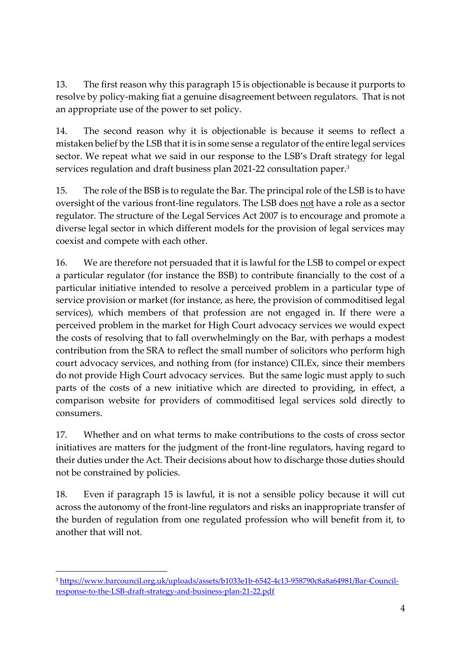13. The first reason why this paragraph 15 is objectionable is because it purports to resolve by policy-making fiat a genuine disagreement between regulators. That is not an appropriate use of the power to set policy.

14. The second reason why it is objectionable is because it seems to reflect a mistaken belief by the LSB that it is in some sense a regulator of the entire legal services sector. We repeat what we said in our response to the LSB's Draft strategy for legal services regulation and draft business plan 2021-22 consultation paper. 3

15. The role of the BSB is to regulate the Bar. The principal role of the LSB is to have oversight of the various front-line regulators. The LSB does not have a role as a sector regulator. The structure of the Legal Services Act 2007 is to encourage and promote a diverse legal sector in which different models for the provision of legal services may coexist and compete with each other.

16. We are therefore not persuaded that it is lawful for the LSB to compel or expect a particular regulator (for instance the BSB) to contribute financially to the cost of a particular initiative intended to resolve a perceived problem in a particular type of service provision or market (for instance, as here, the provision of commoditised legal services), which members of that profession are not engaged in. If there were a perceived problem in the market for High Court advocacy services we would expect the costs of resolving that to fall overwhelmingly on the Bar, with perhaps a modest contribution from the SRA to reflect the small number of solicitors who perform high court advocacy services, and nothing from (for instance) CILEx, since their members do not provide High Court advocacy services. But the same logic must apply to such parts of the costs of a new initiative which are directed to providing, in effect, a comparison website for providers of commoditised legal services sold directly to consumers.

17. Whether and on what terms to make contributions to the costs of cross sector initiatives are matters for the judgment of the front-line regulators, having regard to their duties under the Act. Their decisions about how to discharge those duties should not be constrained by policies.

18. Even if paragraph 15 is lawful, it is not a sensible policy because it will cut across the autonomy of the front-line regulators and risks an inappropriate transfer of the burden of regulation from one regulated profession who will benefit from it, to another that will not.

<sup>3</sup> [https://www.barcouncil.org.uk/uploads/assets/b1033e1b-6542-4c13-958790c8a8a64981/Bar-Council](https://www.barcouncil.org.uk/uploads/assets/b1033e1b-6542-4c13-958790c8a8a64981/Bar-Council-response-to-the-LSB-draft-strategy-and-business-plan-21-22.pdf)[response-to-the-LSB-draft-strategy-and-business-plan-21-22.pdf](https://www.barcouncil.org.uk/uploads/assets/b1033e1b-6542-4c13-958790c8a8a64981/Bar-Council-response-to-the-LSB-draft-strategy-and-business-plan-21-22.pdf)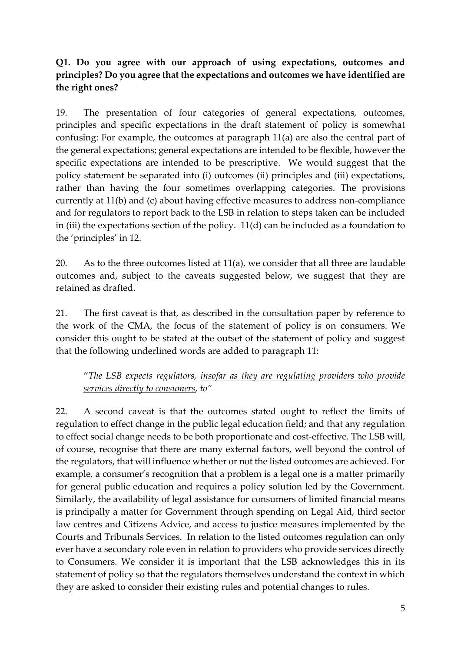# **Q1. Do you agree with our approach of using expectations, outcomes and principles? Do you agree that the expectations and outcomes we have identified are the right ones?**

19. The presentation of four categories of general expectations, outcomes, principles and specific expectations in the draft statement of policy is somewhat confusing: For example, the outcomes at paragraph 11(a) are also the central part of the general expectations; general expectations are intended to be flexible, however the specific expectations are intended to be prescriptive. We would suggest that the policy statement be separated into (i) outcomes (ii) principles and (iii) expectations, rather than having the four sometimes overlapping categories. The provisions currently at 11(b) and (c) about having effective measures to address non-compliance and for regulators to report back to the LSB in relation to steps taken can be included in (iii) the expectations section of the policy. 11(d) can be included as a foundation to the 'principles' in 12.

20. As to the three outcomes listed at 11(a), we consider that all three are laudable outcomes and, subject to the caveats suggested below, we suggest that they are retained as drafted.

21. The first caveat is that, as described in the consultation paper by reference to the work of the CMA, the focus of the statement of policy is on consumers. We consider this ought to be stated at the outset of the statement of policy and suggest that the following underlined words are added to paragraph 11:

"*The LSB expects regulators, insofar as they are regulating providers who provide services directly to consumers, to"*

22. A second caveat is that the outcomes stated ought to reflect the limits of regulation to effect change in the public legal education field; and that any regulation to effect social change needs to be both proportionate and cost-effective. The LSB will, of course, recognise that there are many external factors, well beyond the control of the regulators, that will influence whether or not the listed outcomes are achieved. For example, a consumer's recognition that a problem is a legal one is a matter primarily for general public education and requires a policy solution led by the Government. Similarly, the availability of legal assistance for consumers of limited financial means is principally a matter for Government through spending on Legal Aid, third sector law centres and Citizens Advice, and access to justice measures implemented by the Courts and Tribunals Services. In relation to the listed outcomes regulation can only ever have a secondary role even in relation to providers who provide services directly to Consumers. We consider it is important that the LSB acknowledges this in its statement of policy so that the regulators themselves understand the context in which they are asked to consider their existing rules and potential changes to rules.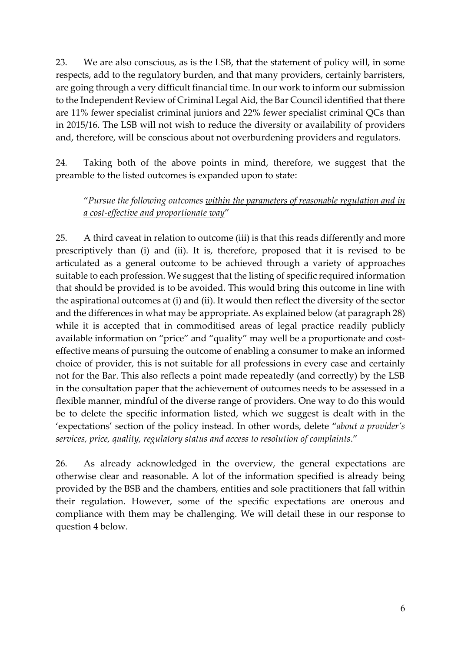23. We are also conscious, as is the LSB, that the statement of policy will, in some respects, add to the regulatory burden, and that many providers, certainly barristers, are going through a very difficult financial time. In our work to inform our submission to the Independent Review of Criminal Legal Aid, the Bar Council identified that there are 11% fewer specialist criminal juniors and 22% fewer specialist criminal QCs than in 2015/16. The LSB will not wish to reduce the diversity or availability of providers and, therefore, will be conscious about not overburdening providers and regulators.

24. Taking both of the above points in mind, therefore, we suggest that the preamble to the listed outcomes is expanded upon to state:

"*Pursue the following outcomes within the parameters of reasonable regulation and in a cost-effective and proportionate way*"

25. A third caveat in relation to outcome (iii) is that this reads differently and more prescriptively than (i) and (ii). It is, therefore, proposed that it is revised to be articulated as a general outcome to be achieved through a variety of approaches suitable to each profession. We suggest that the listing of specific required information that should be provided is to be avoided. This would bring this outcome in line with the aspirational outcomes at (i) and (ii). It would then reflect the diversity of the sector and the differences in what may be appropriate. As explained below (at paragraph 28) while it is accepted that in commoditised areas of legal practice readily publicly available information on "price" and "quality" may well be a proportionate and costeffective means of pursuing the outcome of enabling a consumer to make an informed choice of provider, this is not suitable for all professions in every case and certainly not for the Bar. This also reflects a point made repeatedly (and correctly) by the LSB in the consultation paper that the achievement of outcomes needs to be assessed in a flexible manner, mindful of the diverse range of providers. One way to do this would be to delete the specific information listed, which we suggest is dealt with in the 'expectations' section of the policy instead. In other words, delete "*about a provider's services, price, quality, regulatory status and access to resolution of complaints*."

26. As already acknowledged in the overview, the general expectations are otherwise clear and reasonable. A lot of the information specified is already being provided by the BSB and the chambers, entities and sole practitioners that fall within their regulation. However, some of the specific expectations are onerous and compliance with them may be challenging. We will detail these in our response to question 4 below.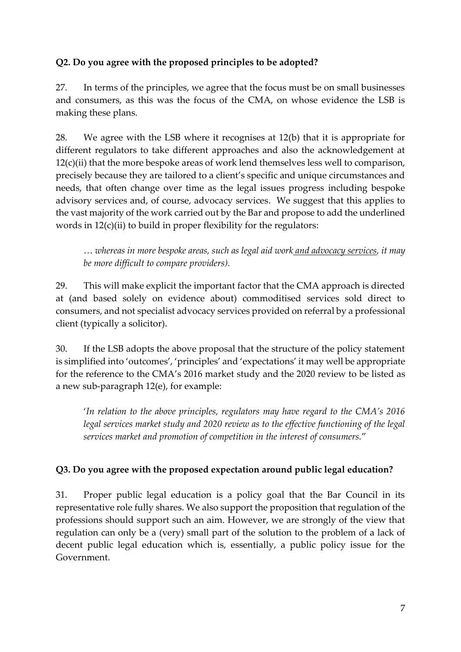# **Q2. Do you agree with the proposed principles to be adopted?**

27. In terms of the principles, we agree that the focus must be on small businesses and consumers, as this was the focus of the CMA, on whose evidence the LSB is making these plans.

28. We agree with the LSB where it recognises at 12(b) that it is appropriate for different regulators to take different approaches and also the acknowledgement at 12(c)(ii) that the more bespoke areas of work lend themselves less well to comparison, precisely because they are tailored to a client's specific and unique circumstances and needs, that often change over time as the legal issues progress including bespoke advisory services and, of course, advocacy services. We suggest that this applies to the vast majority of the work carried out by the Bar and propose to add the underlined words in 12(c)(ii) to build in proper flexibility for the regulators:

… *whereas in more bespoke areas, such as legal aid work and advocacy services, it may be more difficult to compare providers).*

29. This will make explicit the important factor that the CMA approach is directed at (and based solely on evidence about) commoditised services sold direct to consumers, and not specialist advocacy services provided on referral by a professional client (typically a solicitor).

30. If the LSB adopts the above proposal that the structure of the policy statement is simplified into 'outcomes', 'principles' and 'expectations' it may well be appropriate for the reference to the CMA's 2016 market study and the 2020 review to be listed as a new sub-paragraph 12(e), for example:

'*In relation to the above principles, regulators may have regard to the CMA's 2016 legal services market study and 2020 review as to the effective functioning of the legal services market and promotion of competition in the interest of consumers.*"

## **Q3. Do you agree with the proposed expectation around public legal education?**

31. Proper public legal education is a policy goal that the Bar Council in its representative role fully shares. We also support the proposition that regulation of the professions should support such an aim. However, we are strongly of the view that regulation can only be a (very) small part of the solution to the problem of a lack of decent public legal education which is, essentially, a public policy issue for the Government.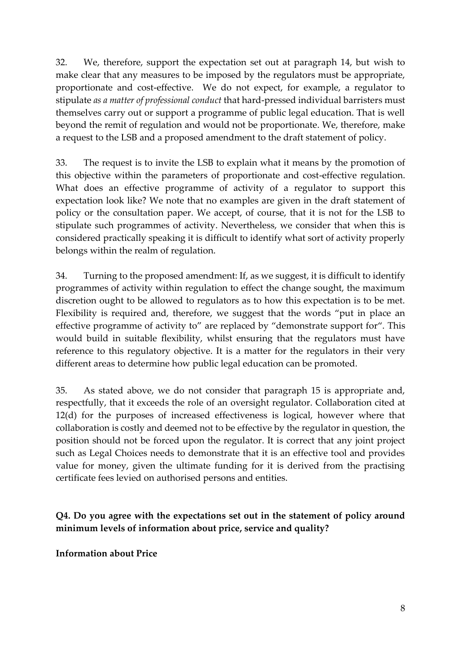32. We, therefore, support the expectation set out at paragraph 14, but wish to make clear that any measures to be imposed by the regulators must be appropriate, proportionate and cost-effective. We do not expect, for example, a regulator to stipulate *as a matter of professional conduct* that hard-pressed individual barristers must themselves carry out or support a programme of public legal education. That is well beyond the remit of regulation and would not be proportionate. We, therefore, make a request to the LSB and a proposed amendment to the draft statement of policy.

33. The request is to invite the LSB to explain what it means by the promotion of this objective within the parameters of proportionate and cost-effective regulation. What does an effective programme of activity of a regulator to support this expectation look like? We note that no examples are given in the draft statement of policy or the consultation paper. We accept, of course, that it is not for the LSB to stipulate such programmes of activity. Nevertheless, we consider that when this is considered practically speaking it is difficult to identify what sort of activity properly belongs within the realm of regulation.

34. Turning to the proposed amendment: If, as we suggest, it is difficult to identify programmes of activity within regulation to effect the change sought, the maximum discretion ought to be allowed to regulators as to how this expectation is to be met. Flexibility is required and, therefore, we suggest that the words "put in place an effective programme of activity to" are replaced by "demonstrate support for". This would build in suitable flexibility, whilst ensuring that the regulators must have reference to this regulatory objective. It is a matter for the regulators in their very different areas to determine how public legal education can be promoted.

35. As stated above, we do not consider that paragraph 15 is appropriate and, respectfully, that it exceeds the role of an oversight regulator. Collaboration cited at 12(d) for the purposes of increased effectiveness is logical, however where that collaboration is costly and deemed not to be effective by the regulator in question, the position should not be forced upon the regulator. It is correct that any joint project such as Legal Choices needs to demonstrate that it is an effective tool and provides value for money, given the ultimate funding for it is derived from the practising certificate fees levied on authorised persons and entities.

**Q4. Do you agree with the expectations set out in the statement of policy around minimum levels of information about price, service and quality?** 

**Information about Price**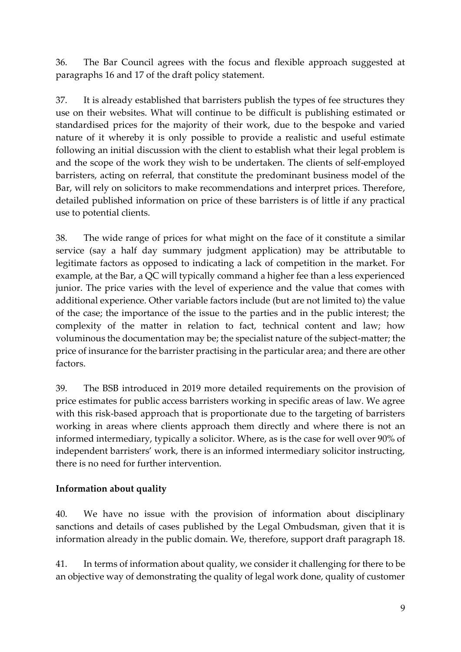36. The Bar Council agrees with the focus and flexible approach suggested at paragraphs 16 and 17 of the draft policy statement.

37. It is already established that barristers publish the types of fee structures they use on their websites. What will continue to be difficult is publishing estimated or standardised prices for the majority of their work, due to the bespoke and varied nature of it whereby it is only possible to provide a realistic and useful estimate following an initial discussion with the client to establish what their legal problem is and the scope of the work they wish to be undertaken. The clients of self-employed barristers, acting on referral, that constitute the predominant business model of the Bar, will rely on solicitors to make recommendations and interpret prices. Therefore, detailed published information on price of these barristers is of little if any practical use to potential clients.

38. The wide range of prices for what might on the face of it constitute a similar service (say a half day summary judgment application) may be attributable to legitimate factors as opposed to indicating a lack of competition in the market. For example, at the Bar, a QC will typically command a higher fee than a less experienced junior. The price varies with the level of experience and the value that comes with additional experience. Other variable factors include (but are not limited to) the value of the case; the importance of the issue to the parties and in the public interest; the complexity of the matter in relation to fact, technical content and law; how voluminous the documentation may be; the specialist nature of the subject-matter; the price of insurance for the barrister practising in the particular area; and there are other factors.

39. The BSB introduced in 2019 more detailed requirements on the provision of price estimates for public access barristers working in specific areas of law. We agree with this risk-based approach that is proportionate due to the targeting of barristers working in areas where clients approach them directly and where there is not an informed intermediary, typically a solicitor. Where, as is the case for well over 90% of independent barristers' work, there is an informed intermediary solicitor instructing, there is no need for further intervention.

## **Information about quality**

40. We have no issue with the provision of information about disciplinary sanctions and details of cases published by the Legal Ombudsman, given that it is information already in the public domain. We, therefore, support draft paragraph 18.

41. In terms of information about quality, we consider it challenging for there to be an objective way of demonstrating the quality of legal work done, quality of customer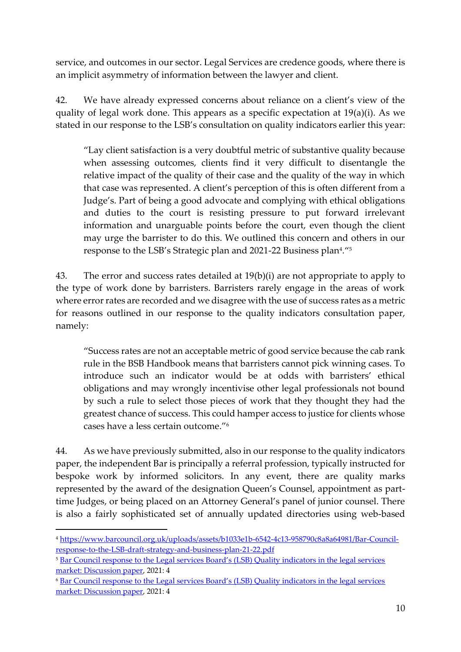service, and outcomes in our sector. Legal Services are credence goods, where there is an implicit asymmetry of information between the lawyer and client.

42. We have already expressed concerns about reliance on a client's view of the quality of legal work done. This appears as a specific expectation at 19(a)(i). As we stated in our response to the LSB's consultation on quality indicators earlier this year:

"Lay client satisfaction is a very doubtful metric of substantive quality because when assessing outcomes, clients find it very difficult to disentangle the relative impact of the quality of their case and the quality of the way in which that case was represented. A client's perception of this is often different from a Judge's. Part of being a good advocate and complying with ethical obligations and duties to the court is resisting pressure to put forward irrelevant information and unarguable points before the court, even though the client may urge the barrister to do this. We outlined this concern and others in our response to the LSB's Strategic plan and 2021-22 Business plan<sup>4</sup> ."<sup>5</sup>

43. The error and success rates detailed at 19(b)(i) are not appropriate to apply to the type of work done by barristers. Barristers rarely engage in the areas of work where error rates are recorded and we disagree with the use of success rates as a metric for reasons outlined in our response to the quality indicators consultation paper, namely:

"Success rates are not an acceptable metric of good service because the cab rank rule in the BSB Handbook means that barristers cannot pick winning cases. To introduce such an indicator would be at odds with barristers' ethical obligations and may wrongly incentivise other legal professionals not bound by such a rule to select those pieces of work that they thought they had the greatest chance of success. This could hamper access to justice for clients whose cases have a less certain outcome."<sup>6</sup>

44. As we have previously submitted, also in our response to the quality indicators paper, the independent Bar is principally a referral profession, typically instructed for bespoke work by informed solicitors. In any event, there are quality marks represented by the award of the designation Queen's Counsel, appointment as parttime Judges, or being placed on an Attorney General's panel of junior counsel. There is also a fairly sophisticated set of annually updated directories using web-based

<sup>4</sup> [https://www.barcouncil.org.uk/uploads/assets/b1033e1b-6542-4c13-958790c8a8a64981/Bar-Council](https://www.barcouncil.org.uk/uploads/assets/b1033e1b-6542-4c13-958790c8a8a64981/Bar-Council-response-to-the-LSB-draft-strategy-and-business-plan-21-22.pdf)[response-to-the-LSB-draft-strategy-and-business-plan-21-22.pdf](https://www.barcouncil.org.uk/uploads/assets/b1033e1b-6542-4c13-958790c8a8a64981/Bar-Council-response-to-the-LSB-draft-strategy-and-business-plan-21-22.pdf)

<sup>&</sup>lt;sup>5</sup> Bar Council response to the Legal services Board's (LSB) Quality indicators in the legal services [market: Discussion paper,](https://www.barcouncil.org.uk/uploads/assets/d26a64a2-f92b-4f9f-89607c8dde205b24/Bar-Council-response-to-the-Legal-Services-Board-discussion-paper-on-quality-indicators.pdf) 2021: 4

<sup>6</sup> [Bar Council response to the Legal services Board's \(LSB\) Quality indicators in the legal services](https://www.barcouncil.org.uk/uploads/assets/d26a64a2-f92b-4f9f-89607c8dde205b24/Bar-Council-response-to-the-Legal-Services-Board-discussion-paper-on-quality-indicators.pdf)  [market: Discussion paper,](https://www.barcouncil.org.uk/uploads/assets/d26a64a2-f92b-4f9f-89607c8dde205b24/Bar-Council-response-to-the-Legal-Services-Board-discussion-paper-on-quality-indicators.pdf) 2021: 4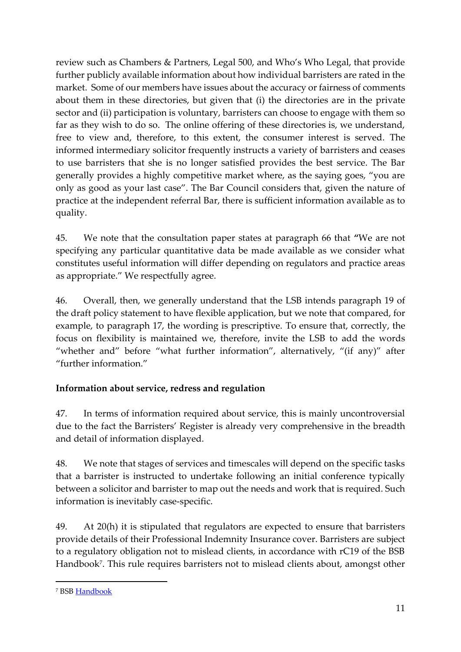review such as Chambers & Partners, Legal 500, and Who's Who Legal, that provide further publicly available information about how individual barristers are rated in the market. Some of our members have issues about the accuracy or fairness of comments about them in these directories, but given that (i) the directories are in the private sector and (ii) participation is voluntary, barristers can choose to engage with them so far as they wish to do so. The online offering of these directories is, we understand, free to view and, therefore, to this extent, the consumer interest is served. The informed intermediary solicitor frequently instructs a variety of barristers and ceases to use barristers that she is no longer satisfied provides the best service. The Bar generally provides a highly competitive market where, as the saying goes, "you are only as good as your last case". The Bar Council considers that, given the nature of practice at the independent referral Bar, there is sufficient information available as to quality.

45. We note that the consultation paper states at paragraph 66 that **"**We are not specifying any particular quantitative data be made available as we consider what constitutes useful information will differ depending on regulators and practice areas as appropriate." We respectfully agree.

46. Overall, then, we generally understand that the LSB intends paragraph 19 of the draft policy statement to have flexible application, but we note that compared, for example, to paragraph 17, the wording is prescriptive. To ensure that, correctly, the focus on flexibility is maintained we, therefore, invite the LSB to add the words "whether and" before "what further information", alternatively, "(if any)" after "further information."

## **Information about service, redress and regulation**

47. In terms of information required about service, this is mainly uncontroversial due to the fact the Barristers' Register is already very comprehensive in the breadth and detail of information displayed.

48. We note that stages of services and timescales will depend on the specific tasks that a barrister is instructed to undertake following an initial conference typically between a solicitor and barrister to map out the needs and work that is required. Such information is inevitably case-specific.

49. At 20(h) it is stipulated that regulators are expected to ensure that barristers provide details of their Professional Indemnity Insurance cover. Barristers are subject to a regulatory obligation not to mislead clients, in accordance with rC19 of the BSB Handbook<sup>7</sup> . This rule requires barristers not to mislead clients about, amongst other

<sup>7</sup> BS[B Handbook](https://www.barstandardsboard.org.uk/uploads/assets/de77ead9-9400-4c9d-bef91353ca9e5345/a9fd5bc5-edb7-4b52-be7f4cbed4560996/second-edition-test31072019104713.pdf)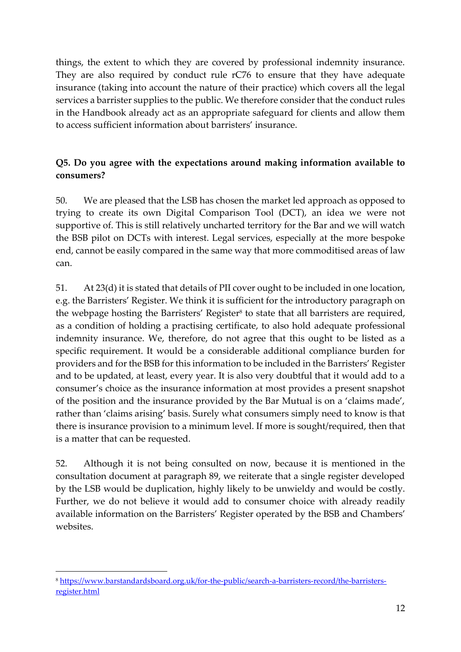things, the extent to which they are covered by professional indemnity insurance. They are also required by conduct rule rC76 to ensure that they have adequate insurance (taking into account the nature of their practice) which covers all the legal services a barrister supplies to the public. We therefore consider that the conduct rules in the Handbook already act as an appropriate safeguard for clients and allow them to access sufficient information about barristers' insurance.

# **Q5. Do you agree with the expectations around making information available to consumers?**

50. We are pleased that the LSB has chosen the market led approach as opposed to trying to create its own Digital Comparison Tool (DCT), an idea we were not supportive of. This is still relatively uncharted territory for the Bar and we will watch the BSB pilot on DCTs with interest. Legal services, especially at the more bespoke end, cannot be easily compared in the same way that more commoditised areas of law can.

51. At 23(d) it is stated that details of PII cover ought to be included in one location, e.g. the Barristers' Register. We think it is sufficient for the introductory paragraph on the webpage hosting the Barristers' Register<sup>8</sup> to state that all barristers are required, as a condition of holding a practising certificate, to also hold adequate professional indemnity insurance. We, therefore, do not agree that this ought to be listed as a specific requirement. It would be a considerable additional compliance burden for providers and for the BSB for this information to be included in the Barristers' Register and to be updated, at least, every year. It is also very doubtful that it would add to a consumer's choice as the insurance information at most provides a present snapshot of the position and the insurance provided by the Bar Mutual is on a 'claims made', rather than 'claims arising' basis. Surely what consumers simply need to know is that there is insurance provision to a minimum level. If more is sought/required, then that is a matter that can be requested.

52. Although it is not being consulted on now, because it is mentioned in the consultation document at paragraph 89, we reiterate that a single register developed by the LSB would be duplication, highly likely to be unwieldy and would be costly. Further, we do not believe it would add to consumer choice with already readily available information on the Barristers' Register operated by the BSB and Chambers' websites.

<sup>8</sup> [https://www.barstandardsboard.org.uk/for-the-public/search-a-barristers-record/the-barristers](https://www.barstandardsboard.org.uk/for-the-public/search-a-barristers-record/the-barristers-register.html)[register.html](https://www.barstandardsboard.org.uk/for-the-public/search-a-barristers-record/the-barristers-register.html)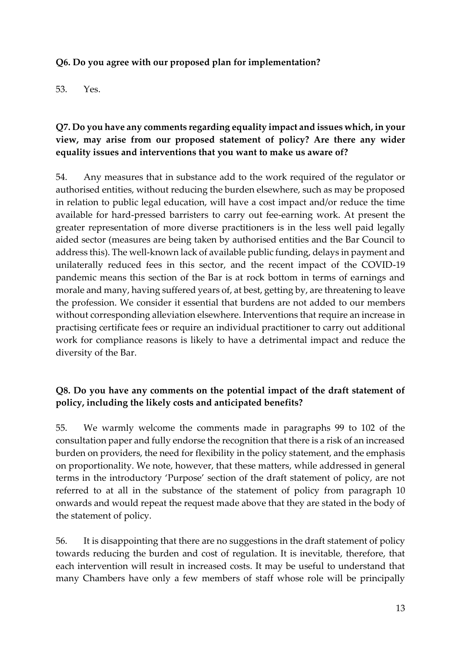#### **Q6. Do you agree with our proposed plan for implementation?**

53. Yes.

## **Q7. Do you have any comments regarding equality impact and issues which, in your view, may arise from our proposed statement of policy? Are there any wider equality issues and interventions that you want to make us aware of?**

54. Any measures that in substance add to the work required of the regulator or authorised entities, without reducing the burden elsewhere, such as may be proposed in relation to public legal education, will have a cost impact and/or reduce the time available for hard-pressed barristers to carry out fee-earning work. At present the greater representation of more diverse practitioners is in the less well paid legally aided sector (measures are being taken by authorised entities and the Bar Council to address this). The well-known lack of available public funding, delays in payment and unilaterally reduced fees in this sector, and the recent impact of the COVID-19 pandemic means this section of the Bar is at rock bottom in terms of earnings and morale and many, having suffered years of, at best, getting by, are threatening to leave the profession. We consider it essential that burdens are not added to our members without corresponding alleviation elsewhere. Interventions that require an increase in practising certificate fees or require an individual practitioner to carry out additional work for compliance reasons is likely to have a detrimental impact and reduce the diversity of the Bar.

## **Q8. Do you have any comments on the potential impact of the draft statement of policy, including the likely costs and anticipated benefits?**

55. We warmly welcome the comments made in paragraphs 99 to 102 of the consultation paper and fully endorse the recognition that there is a risk of an increased burden on providers, the need for flexibility in the policy statement, and the emphasis on proportionality. We note, however, that these matters, while addressed in general terms in the introductory 'Purpose' section of the draft statement of policy, are not referred to at all in the substance of the statement of policy from paragraph 10 onwards and would repeat the request made above that they are stated in the body of the statement of policy.

56. It is disappointing that there are no suggestions in the draft statement of policy towards reducing the burden and cost of regulation. It is inevitable, therefore, that each intervention will result in increased costs. It may be useful to understand that many Chambers have only a few members of staff whose role will be principally